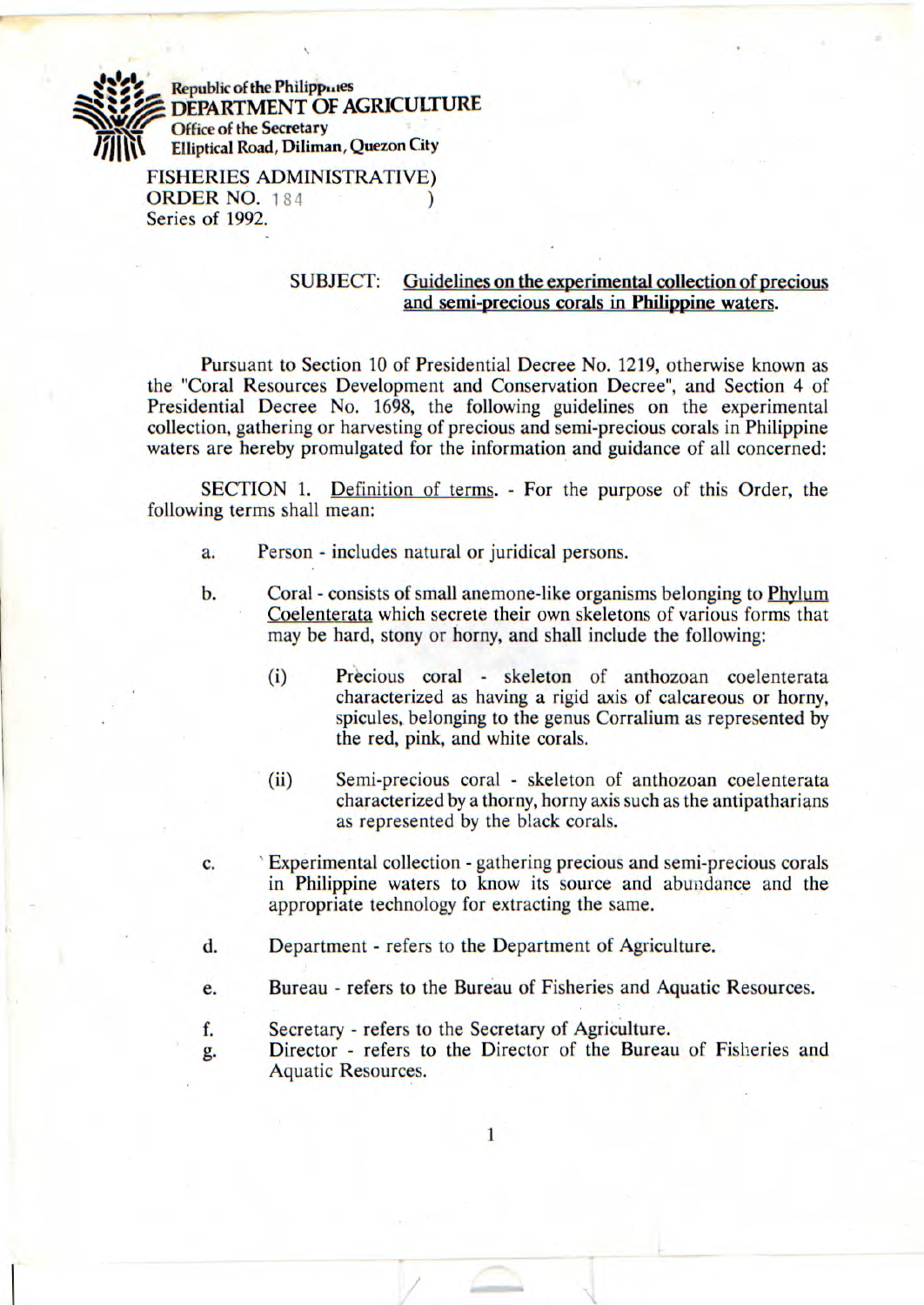**Republic of the Philippines DEPARTMENT OF AGRICULTURE Office of the Secretary Elliptical Road, Diliman, Quezon City** 

> **FISHERIES ADMINISTRATIVE) ORDER NO.** 184 ) Series of 1992.

# SUBJECT: Guidelines on the experimental collection of precious and semi-precious corals in Philippine waters.

Pursuant to Section 10 of Presidential Decree No. 1219, otherwise known as the "Coral Resources Development and Conservation Decree", and Section 4 of Presidential Decree No. 1698, the following guidelines on the experimental collection, gathering or harvesting of precious and semi-precious corals in Philippine waters are hereby promulgated for the information and guidance of all concerned:

SECTION 1. Definition of terms. - For the purpose of this Order, the following terms shall mean:

- a. Person includes natural or juridical persons.
- b. Coral consists of small anemone-like organisms belonging to Phylum Coelenterata which secrete their own skeletons of various forms that may be hard, stony or horny, and shall include the following:
	- (1) Precious coral skeleton of anthozoan coelenterata characterized as having a rigid axis of calcareous or horny, spicules, belonging to the genus Corralium as represented by the red, pink, and white corals.
	- (ii) Semi-precious coral skeleton of anthozoan coelenterata characterized by a thorny, horny axis such as the antipatharians as represented by the black corals.
- C. Experimental collection gathering precious and semi-precious corals in Philippine waters to know its source and abundance and the appropriate technology for extracting the same.
- d. Department refers to the Department of Agriculture.
- e. Bureau refers to the Bureau of Fisheries and Aquatic Resources.

 $\mathbf{1}$ 

- f. Secretary refers to the Secretary of Agriculture.
- g. Director refers to the Director of the Bureau of Fisheries and Aquatic Resources.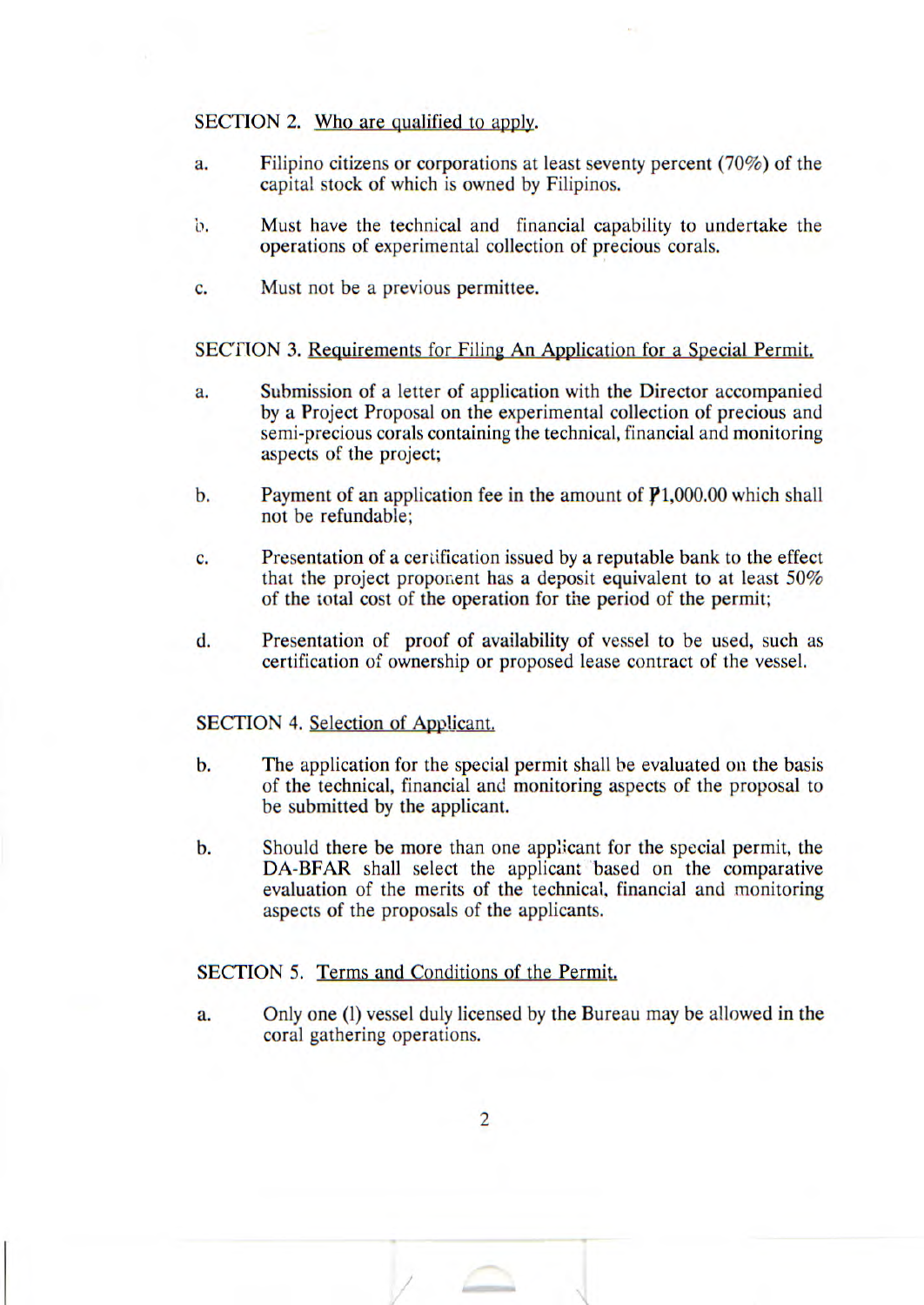### SECTION 2. Who are qualified to apply.

- a. Filipino citizens or corporations at least seventy percent (70%) of the capital stock of which is owned by Filipinos.
- h. Must have the technical and financial capability to undertake the operations of experimental collection of precious corals.
- C. Must not be a previous permittee.

## SECTION 3. Requirements for Filing An Application for a Special Permit.

- a. Submission of a letter of application with the Director accompanied by a Project Proposal on the experimental collection of precious and semi-precious corals containing the technical, financial and monitoring aspects of the project;
- b. Payment of an application fee in the amount of  $P1,000.00$  which shall not be refundable;
- C. Presentation of a certification issued by a reputable bank to the effect that the project proponent has a deposit equivalent to at least *50%*  of the total cost of the operation for the period of the permit;
- d. Presentation of proof of availability of vessel to be used, such as certification of ownership or proposed lease contract of the vessel.

#### SECTION 4. Selection of Applicant.

- b. The application for the special permit shall be evaluated on the basis of the technical, financial and monitoring aspects of the proposal to be submitted by the applicant.
- b. Should there be more than one applicant for the special permit, the DA-BFAR shall select the applicant based on the comparative evaluation of the merits of the technical, financial and monitoring aspects of the proposals of the applicants.

## SECTION *5.* Terms and Conditions of the Permit.

a. Only one (1) vessel duly licensed by the Bureau may be allowed in the coral gathering operations.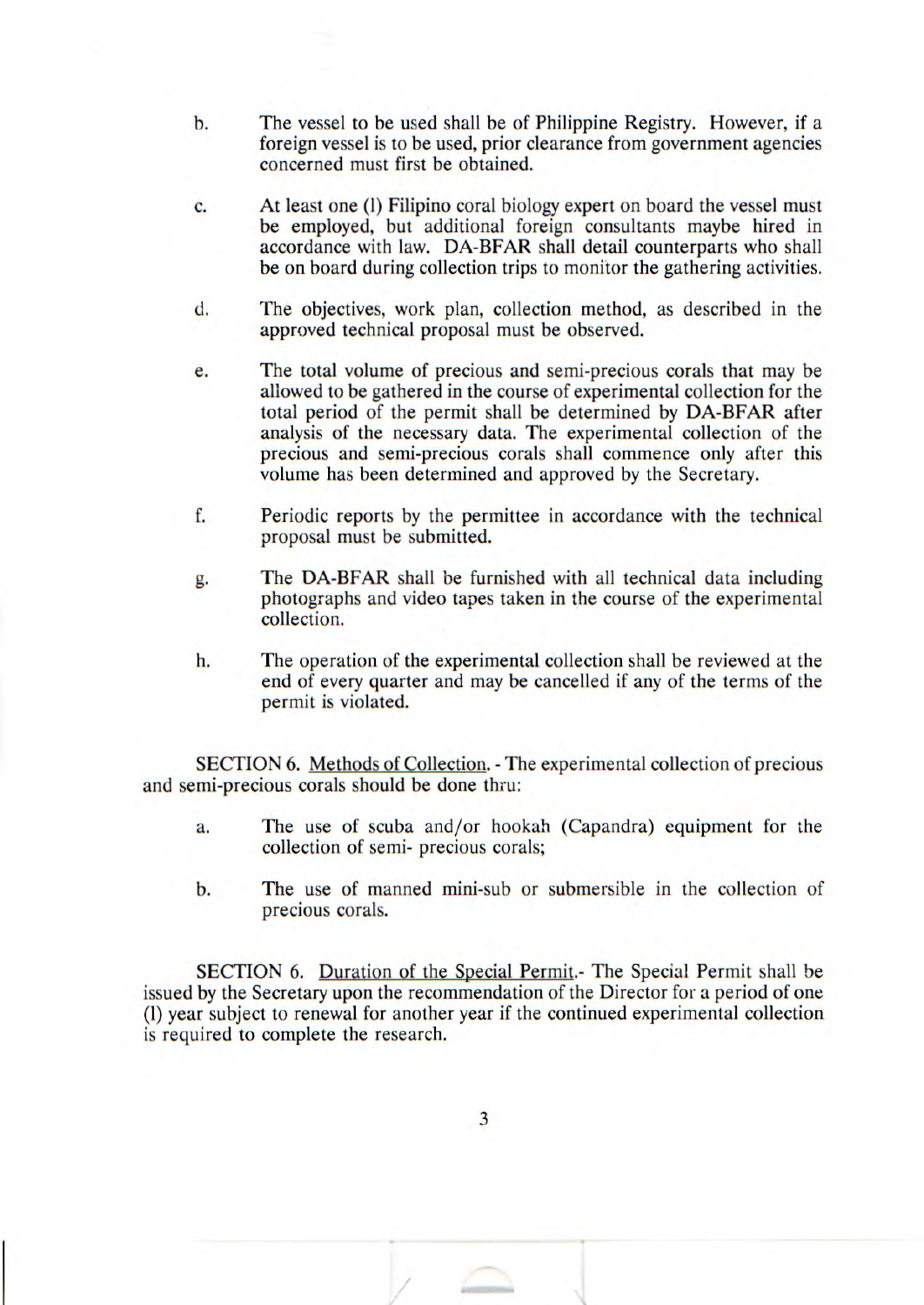- b. The vessel to be used shall be of Philippine Registry. However, if a foreign vessel is to be used, prior clearance from government agencies concerned must first be obtained.
- C. At least one (1) Filipino coral biology expert on board the vessel must be employed, but additional foreign consultants maybe hired in accordance with law. DA-BFAR shall detail counterparts who shall be on board during collection trips to monitor the gathering activities.
- d. The objectives, work plan, collection method, as described in the approved technical proposal must be observed.
- e. The total volume of precious and semi-precious corals that may be allowed to be gathered in the course of experimental collection for the total period of the permit shall be determined by DA-BFAR after analysis of the necessary data. The experimental collection of the precious and semi-precious corals shall commence only after this volume has been determined and approved by the Secretary.
- f. Periodic reports by the permittee in accordance with the technical proposal must be submitted.
- g. The DA-BFAR shall be furnished with all technical data including photographs and video tapes taken in the course of the experimental collection.
- h. The operation of the experimental collection shall be reviewed at the end of every quarter and may be cancelled if any of the terms of the permit is violated.

SECTION 6. Methods of Collection. - The experimental collection of precious and semi-precious corals should be done thru:

- a. The use of scuba and/or hookah (Capandra) equipment for the collection of semi- precious corals;
- b. The use of manned mini-sub or submersible in the collection of precious corals.

SECTION 6. Duration of the Special Permit.- The Special Permit shall be issued by the Secretary upon the recommendation of the Director for a period of one (1) year subject to renewal for another year if the continued experimental collection is required to complete the research.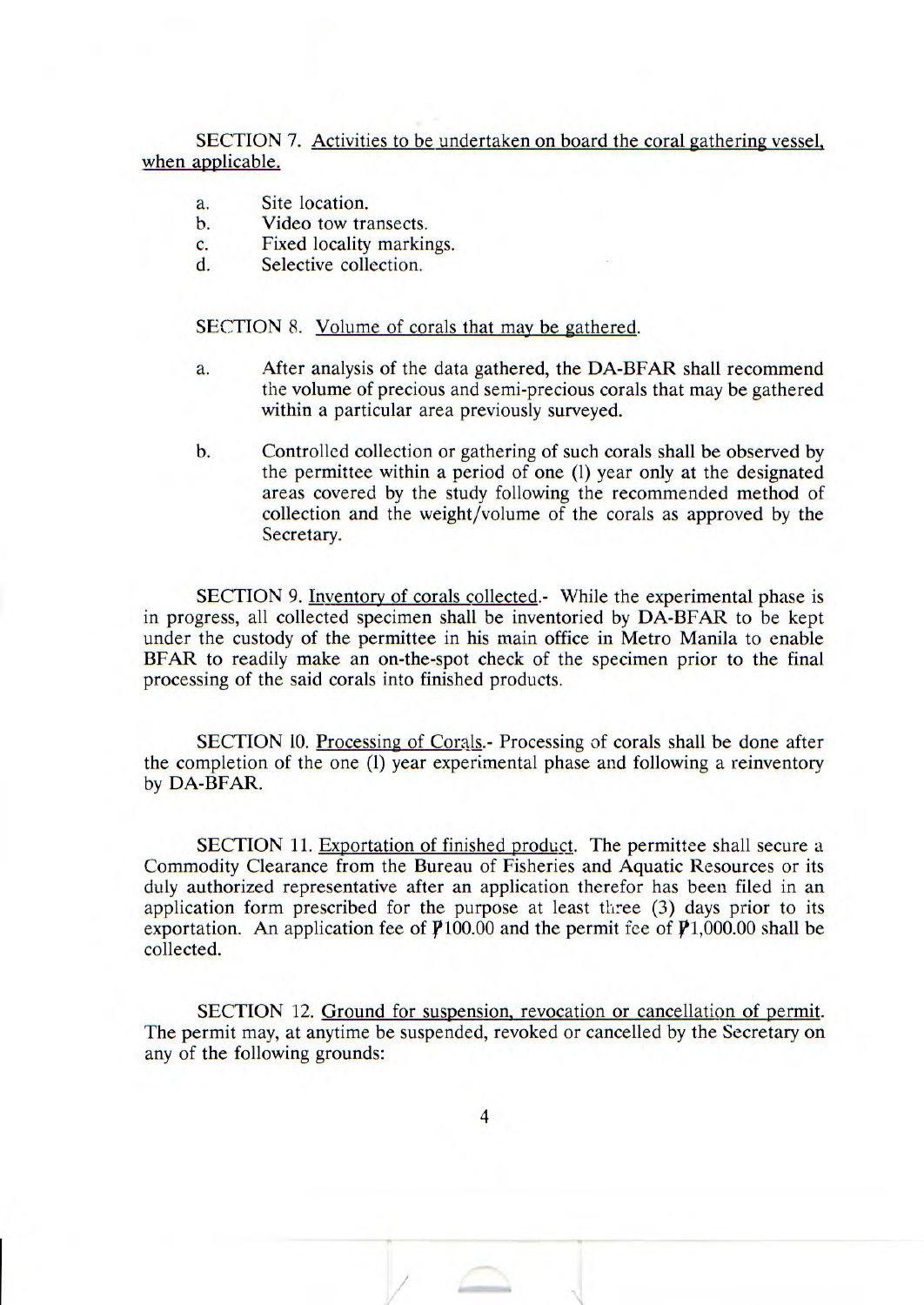SECTION 7. Activities to be undertaken on board the coral gathering vessel, when applicable.

- a. Site location.
- h. Video tow transects.
- C. Fixed locality markings.
- d. Selective collection.

### SECTION 8. Volume of corals that may be gathered.

- a. After analysis of the data gathered, the DA-BFAR shall recommend the volume of precious and semi-precious corals that may be gathered within a particular area previously surveyed.
- b. Controlled collection or gathering of such corals shall be observed by the permittee within a period of one (1) year only at the designated areas covered by the study following the recommended method of collection and the weight/volume of the corals as approved by the Secretary.

SECTION 9. Inventory of corals collected.- While the experimental phase is in progress, all collected specimen shall be inventoried by DA-BFAR to be kept under the custody of the permittee in his main office in Metro Manila to enable BFAR to readily make an on-the-spot check of the specimen prior to the final processing of the said corals into finished products.

SECTION 10. Processing of Corals.- Processing of corals shall he done after the completion of the one (1) year experimental phase and following a reinventory by DA-BFAR.

SECTION 11. Exportation of finished product. The permittee shall secure a Commodity Clearance from the Bureau of Fisheries and Aquatic Resources or its duly authorized representative after an application therefor has been filed in an application form prescribed for the purpose at least three (3) days prior to its exportation. An application fee of  $P100.00$  and the permit fee of  $P1,000.00$  shall be collected.

SECTION 12. Ground for suspension, revocation or cancellation of permit. The permit may, at anytime be suspended, revoked or cancelled by the Secretary on any of the following grounds: